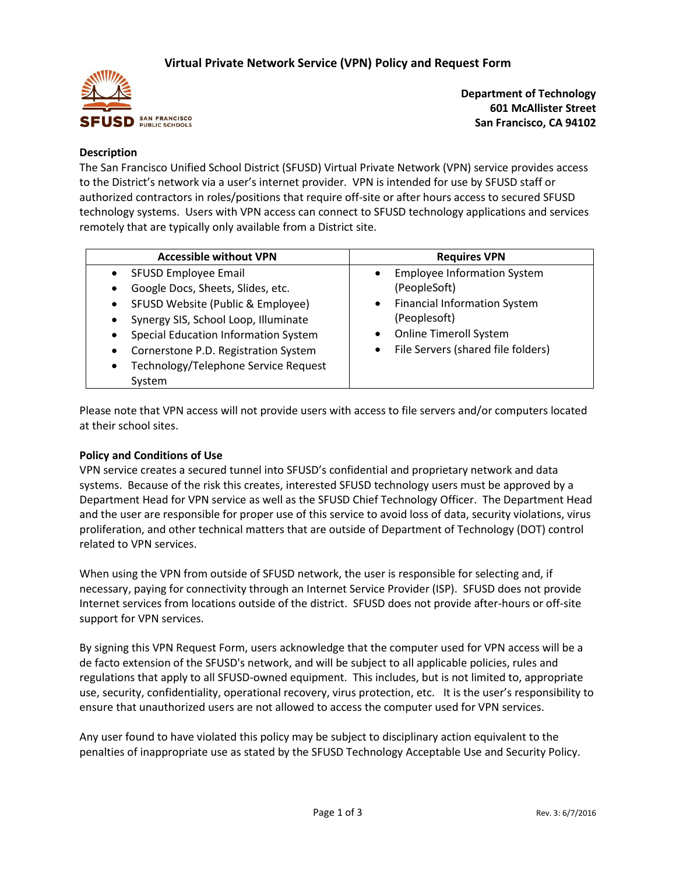

**Department of Technology 601 McAllister Street San Francisco, CA 94102**

## **Description**

The San Francisco Unified School District (SFUSD) Virtual Private Network (VPN) service provides access to the District's network via a user's internet provider. VPN is intended for use by SFUSD staff or authorized contractors in roles/positions that require off-site or after hours access to secured SFUSD technology systems. Users with VPN access can connect to SFUSD technology applications and services remotely that are typically only available from a District site.

| <b>Accessible without VPN</b>                                                                                                                                                                                                                                                                                                                       | <b>Requires VPN</b>                                                                                                                                                                                        |  |  |
|-----------------------------------------------------------------------------------------------------------------------------------------------------------------------------------------------------------------------------------------------------------------------------------------------------------------------------------------------------|------------------------------------------------------------------------------------------------------------------------------------------------------------------------------------------------------------|--|--|
| SFUSD Employee Email<br>$\bullet$<br>Google Docs, Sheets, Slides, etc.<br>$\bullet$<br>SFUSD Website (Public & Employee)<br>$\bullet$<br>Synergy SIS, School Loop, Illuminate<br>$\bullet$<br>Special Education Information System<br>$\bullet$<br>Cornerstone P.D. Registration System<br>٠<br>Technology/Telephone Service Request<br>٠<br>System | <b>Employee Information System</b><br>$\bullet$<br>(PeopleSoft)<br><b>Financial Information System</b><br>$\bullet$<br>(Peoplesoft)<br><b>Online Timeroll System</b><br>File Servers (shared file folders) |  |  |

Please note that VPN access will not provide users with access to file servers and/or computers located at their school sites.

### **Policy and Conditions of Use**

VPN service creates a secured tunnel into SFUSD's confidential and proprietary network and data systems. Because of the risk this creates, interested SFUSD technology users must be approved by a Department Head for VPN service as well as the SFUSD Chief Technology Officer. The Department Head and the user are responsible for proper use of this service to avoid loss of data, security violations, virus proliferation, and other technical matters that are outside of Department of Technology (DOT) control related to VPN services.

When using the VPN from outside of SFUSD network, the user is responsible for selecting and, if necessary, paying for connectivity through an Internet Service Provider (ISP). SFUSD does not provide Internet services from locations outside of the district. SFUSD does not provide after-hours or off-site support for VPN services.

By signing this VPN Request Form, users acknowledge that the computer used for VPN access will be a de facto extension of the SFUSD's network, and will be subject to all applicable policies, rules and regulations that apply to all SFUSD-owned equipment. This includes, but is not limited to, appropriate use, security, confidentiality, operational recovery, virus protection, etc. It is the user's responsibility to ensure that unauthorized users are not allowed to access the computer used for VPN services.

Any user found to have violated this policy may be subject to disciplinary action equivalent to the penalties of inappropriate use as stated by the SFUSD Technology Acceptable Use and Security Policy.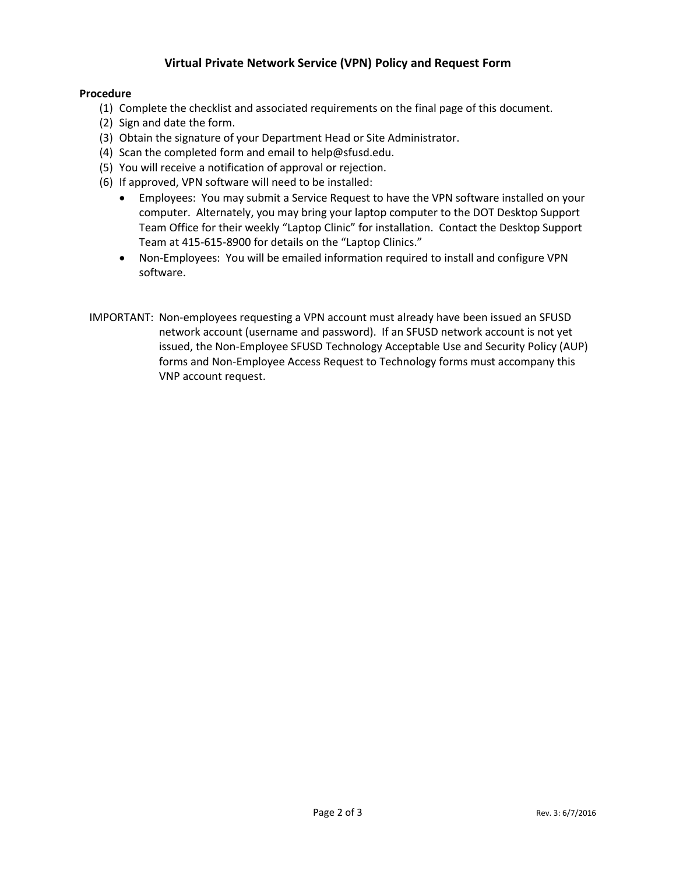# **Virtual Private Network Service (VPN) Policy and Request Form**

### **Procedure**

- (1) Complete the checklist and associated requirements on the final page of this document.
- (2) Sign and date the form.
- (3) Obtain the signature of your Department Head or Site Administrator.
- (4) Scan the completed form and email to help@sfusd.edu.
- (5) You will receive a notification of approval or rejection.
- (6) If approved, VPN software will need to be installed:
	- Employees: You may submit a Service Request to have the VPN software installed on your computer. Alternately, you may bring your laptop computer to the DOT Desktop Support Team Office for their weekly "Laptop Clinic" for installation. Contact the Desktop Support Team at 415-615-8900 for details on the "Laptop Clinics."
	- Non-Employees: You will be emailed information required to install and configure VPN software.
- IMPORTANT: Non-employees requesting a VPN account must already have been issued an SFUSD network account (username and password). If an SFUSD network account is not yet issued, the Non-Employee SFUSD Technology Acceptable Use and Security Policy (AUP) forms and Non-Employee Access Request to Technology forms must accompany this VNP account request.